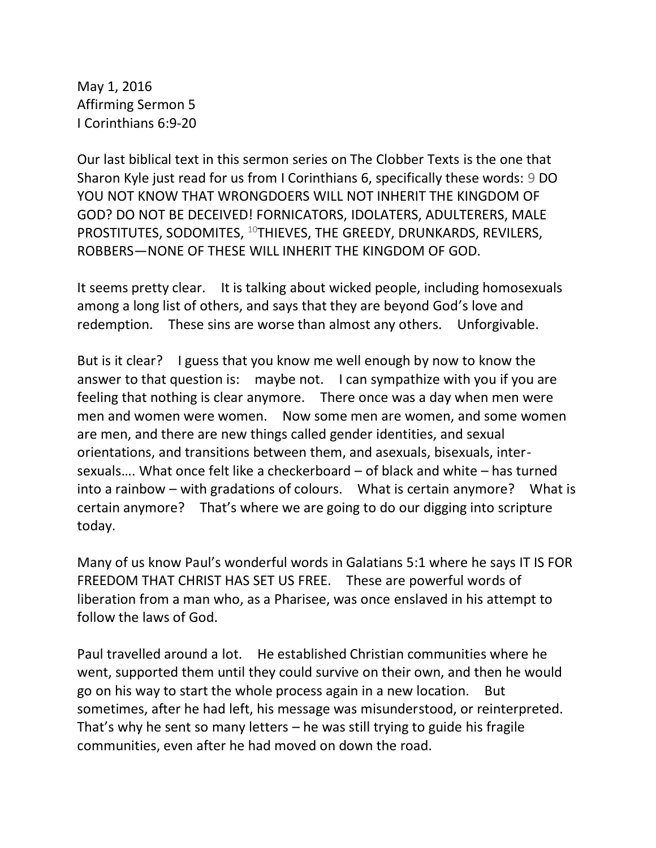May 1, 2016 Affirming Sermon 5 I Corinthians 6:9-20

Our last biblical text in this sermon series on The Clobber Texts is the one that Sharon Kyle just read for us from I Corinthians 6, specifically these words: 9 DO YOU NOT KNOW THAT WRONGDOERS WILL NOT INHERIT THE KINGDOM OF GOD? DO NOT BE DECEIVED! FORNICATORS, IDOLATERS, ADULTERERS, MALE PROSTITUTES, SODOMITES, <sup>10</sup>THIEVES, THE GREEDY, DRUNKARDS, REVILERS, ROBBERS—NONE OF THESE WILL INHERIT THE KINGDOM OF GOD.

It seems pretty clear. It is talking about wicked people, including homosexuals among a long list of others, and says that they are beyond God's love and redemption. These sins are worse than almost any others. Unforgivable.

But is it clear? I guess that you know me well enough by now to know the answer to that question is: maybe not. I can sympathize with you if you are feeling that nothing is clear anymore. There once was a day when men were men and women were women. Now some men are women, and some women are men, and there are new things called gender identities, and sexual orientations, and transitions between them, and asexuals, bisexuals, intersexuals…. What once felt like a checkerboard – of black and white – has turned into a rainbow – with gradations of colours. What is certain anymore? What is certain anymore? That's where we are going to do our digging into scripture today.

Many of us know Paul's wonderful words in Galatians 5:1 where he says IT IS FOR FREEDOM THAT CHRIST HAS SET US FREE. These are powerful words of liberation from a man who, as a Pharisee, was once enslaved in his attempt to follow the laws of God.

Paul travelled around a lot. He established Christian communities where he went, supported them until they could survive on their own, and then he would go on his way to start the whole process again in a new location. But sometimes, after he had left, his message was misunderstood, or reinterpreted. That's why he sent so many letters – he was still trying to guide his fragile communities, even after he had moved on down the road.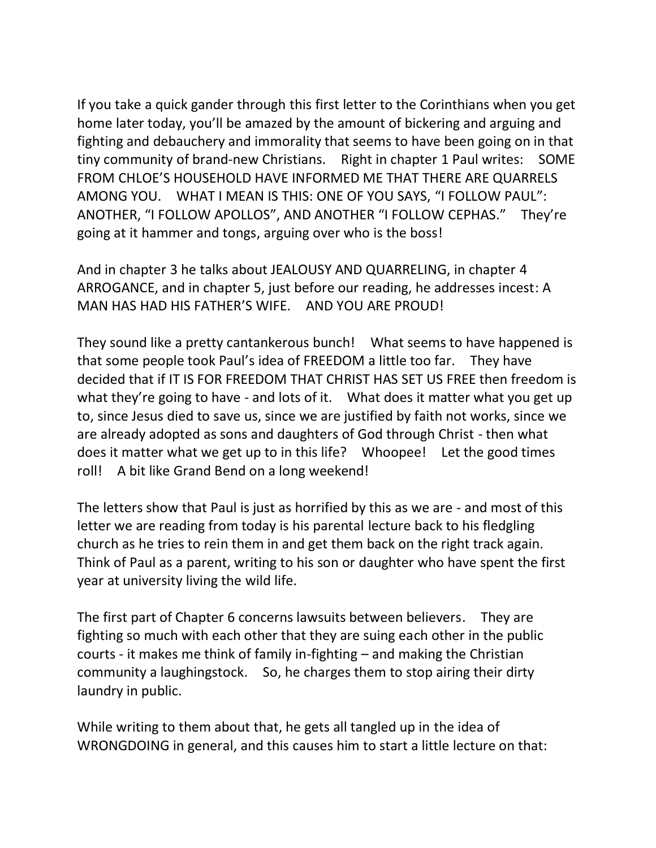If you take a quick gander through this first letter to the Corinthians when you get home later today, you'll be amazed by the amount of bickering and arguing and fighting and debauchery and immorality that seems to have been going on in that tiny community of brand-new Christians. Right in chapter 1 Paul writes: SOME FROM CHLOE'S HOUSEHOLD HAVE INFORMED ME THAT THERE ARE QUARRELS AMONG YOU. WHAT I MEAN IS THIS: ONE OF YOU SAYS, "I FOLLOW PAUL": ANOTHER, "I FOLLOW APOLLOS", AND ANOTHER "I FOLLOW CEPHAS." They're going at it hammer and tongs, arguing over who is the boss!

And in chapter 3 he talks about JEALOUSY AND QUARRELING, in chapter 4 ARROGANCE, and in chapter 5, just before our reading, he addresses incest: A MAN HAS HAD HIS FATHER'S WIFE. AND YOU ARE PROUD!

They sound like a pretty cantankerous bunch! What seems to have happened is that some people took Paul's idea of FREEDOM a little too far. They have decided that if IT IS FOR FREEDOM THAT CHRIST HAS SET US FREE then freedom is what they're going to have - and lots of it. What does it matter what you get up to, since Jesus died to save us, since we are justified by faith not works, since we are already adopted as sons and daughters of God through Christ - then what does it matter what we get up to in this life? Whoopee! Let the good times roll! A bit like Grand Bend on a long weekend!

The letters show that Paul is just as horrified by this as we are - and most of this letter we are reading from today is his parental lecture back to his fledgling church as he tries to rein them in and get them back on the right track again. Think of Paul as a parent, writing to his son or daughter who have spent the first year at university living the wild life.

The first part of Chapter 6 concerns lawsuits between believers. They are fighting so much with each other that they are suing each other in the public courts - it makes me think of family in-fighting – and making the Christian community a laughingstock. So, he charges them to stop airing their dirty laundry in public.

While writing to them about that, he gets all tangled up in the idea of WRONGDOING in general, and this causes him to start a little lecture on that: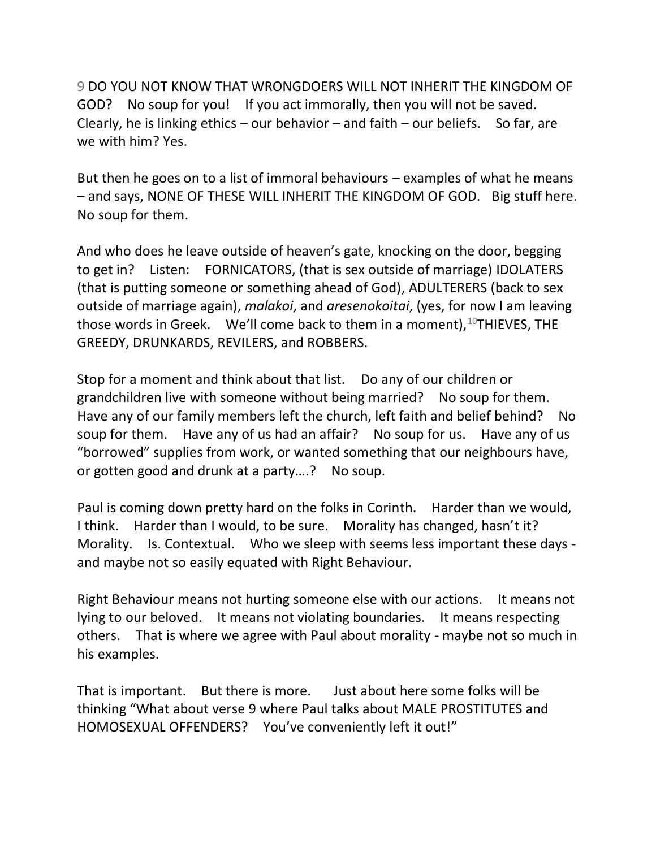9 DO YOU NOT KNOW THAT WRONGDOERS WILL NOT INHERIT THE KINGDOM OF GOD? No soup for you! If you act immorally, then you will not be saved. Clearly, he is linking ethics – our behavior – and faith – our beliefs. So far, are we with him? Yes.

But then he goes on to a list of immoral behaviours – examples of what he means – and says, NONE OF THESE WILL INHERIT THE KINGDOM OF GOD. Big stuff here. No soup for them.

And who does he leave outside of heaven's gate, knocking on the door, begging to get in? Listen: FORNICATORS, (that is sex outside of marriage) IDOLATERS (that is putting someone or something ahead of God), ADULTERERS (back to sex outside of marriage again), *malakoi*, and *aresenokoitai*, (yes, for now I am leaving those words in Greek. We'll come back to them in a moment),  $10$ THIEVES, THE GREEDY, DRUNKARDS, REVILERS, and ROBBERS.

Stop for a moment and think about that list. Do any of our children or grandchildren live with someone without being married? No soup for them. Have any of our family members left the church, left faith and belief behind? No soup for them. Have any of us had an affair? No soup for us. Have any of us "borrowed" supplies from work, or wanted something that our neighbours have, or gotten good and drunk at a party….? No soup.

Paul is coming down pretty hard on the folks in Corinth. Harder than we would, I think. Harder than I would, to be sure. Morality has changed, hasn't it? Morality. Is. Contextual. Who we sleep with seems less important these days and maybe not so easily equated with Right Behaviour.

Right Behaviour means not hurting someone else with our actions. It means not lying to our beloved. It means not violating boundaries. It means respecting others. That is where we agree with Paul about morality - maybe not so much in his examples.

That is important. But there is more. Just about here some folks will be thinking "What about verse 9 where Paul talks about MALE PROSTITUTES and HOMOSEXUAL OFFENDERS? You've conveniently left it out!"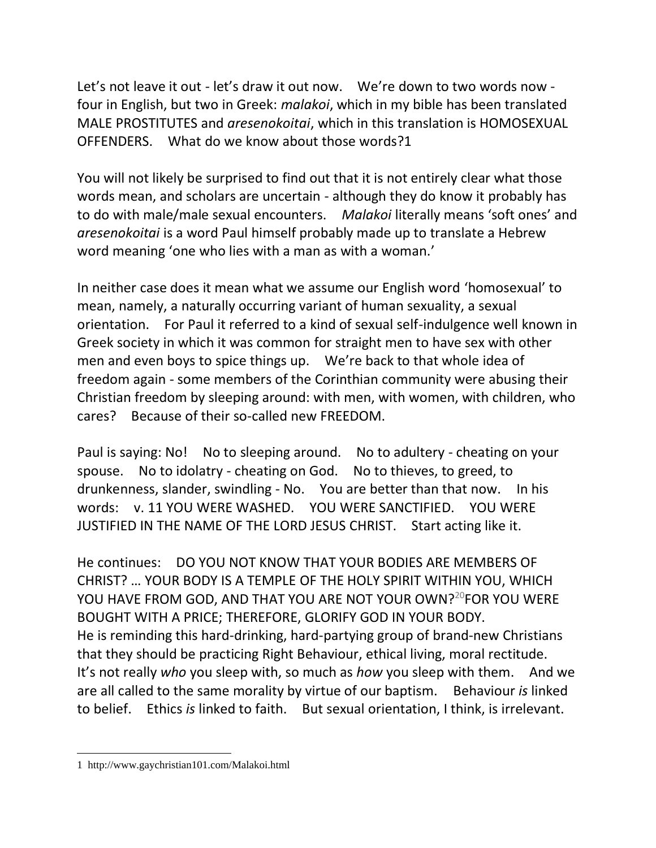Let's not leave it out - let's draw it out now. We're down to two words now four in English, but two in Greek: *malakoi*, which in my bible has been translated MALE PROSTITUTES and *aresenokoitai*, which in this translation is HOMOSEXUAL OFFENDERS. What do we know about those words?1

You will not likely be surprised to find out that it is not entirely clear what those words mean, and scholars are uncertain - although they do know it probably has to do with male/male sexual encounters. *Malakoi* literally means 'soft ones' and *aresenokoitai* is a word Paul himself probably made up to translate a Hebrew word meaning 'one who lies with a man as with a woman.'

In neither case does it mean what we assume our English word 'homosexual' to mean, namely, a naturally occurring variant of human sexuality, a sexual orientation. For Paul it referred to a kind of sexual self-indulgence well known in Greek society in which it was common for straight men to have sex with other men and even boys to spice things up. We're back to that whole idea of freedom again - some members of the Corinthian community were abusing their Christian freedom by sleeping around: with men, with women, with children, who cares? Because of their so-called new FREEDOM.

Paul is saying: No! No to sleeping around. No to adultery - cheating on your spouse. No to idolatry - cheating on God. No to thieves, to greed, to drunkenness, slander, swindling - No. You are better than that now. In his words: v. 11 YOU WERE WASHED. YOU WERE SANCTIFIED. YOU WERE JUSTIFIED IN THE NAME OF THE LORD JESUS CHRIST. Start acting like it.

He continues: DO YOU NOT KNOW THAT YOUR BODIES ARE MEMBERS OF CHRIST? … YOUR BODY IS A TEMPLE OF THE HOLY SPIRIT WITHIN YOU, WHICH YOU HAVE FROM GOD, AND THAT YOU ARE NOT YOUR OWN?<sup>20</sup>FOR YOU WERE BOUGHT WITH A PRICE; THEREFORE, GLORIFY GOD IN YOUR BODY. He is reminding this hard-drinking, hard-partying group of brand-new Christians that they should be practicing Right Behaviour, ethical living, moral rectitude. It's not really *who* you sleep with, so much as *how* you sleep with them. And we are all called to the same morality by virtue of our baptism. Behaviour *is* linked to belief. Ethics *is* linked to faith. But sexual orientation, I think, is irrelevant.

<sup>1</sup> http://www.gaychristian101.com/Malakoi.html